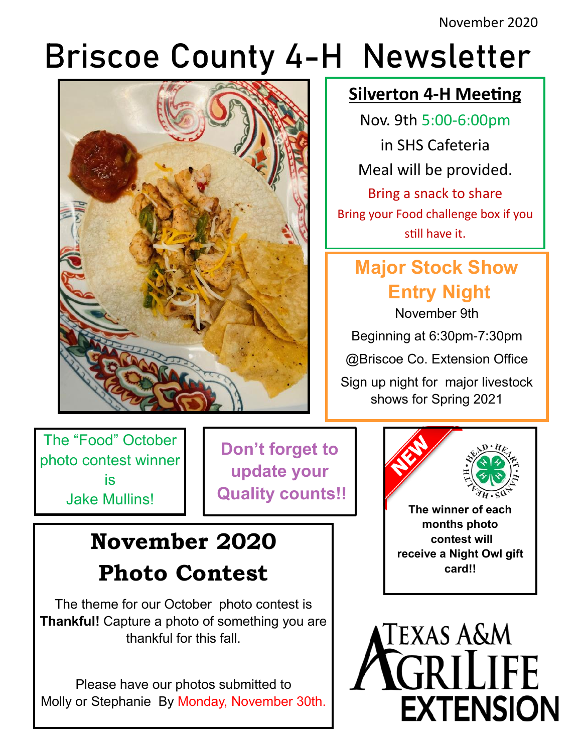November 2020

# Briscoe County 4-H Newsletter



#### **Silverton 4-H Meeting**

Nov. 9th 5:00-6:00pm in SHS Cafeteria Meal will be provided. Bring a snack to share Bring your Food challenge box if you still have it.

## **Major Stock Show Entry Night**

November 9th

Beginning at 6:30pm-7:30pm

@Briscoe Co. Extension Office

Sign up night for major livestock shows for Spring 2021

The "Food" October photo contest winner is Jake Mullins!

**Don't forget to update your Quality counts!!**

# **November 2020 Photo Contest**

The theme for our October photo contest is **Thankful!** Capture a photo of something you are thankful for this fall.

Please have our photos submitted to Molly or Stephanie By Monday, November 30th.



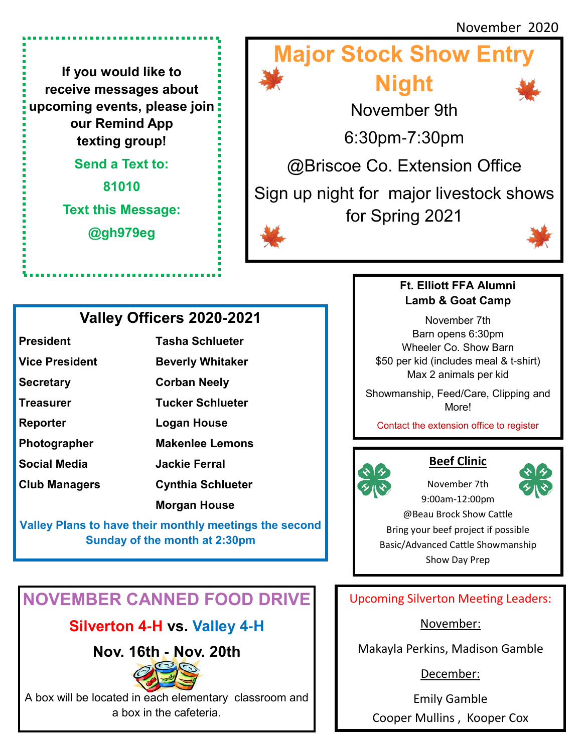**If you would like to receive messages about upcoming events, please join our Remind App texting group!** 

**Send a Text to:**

**81010 Text this Message:**

**@gh979eg**





#### **Valley Officers 2020-2021**

| <b>President</b>      | <b>Tasha Schlueter</b>   |
|-----------------------|--------------------------|
| <b>Vice President</b> | <b>Beverly Whitaker</b>  |
| <b>Secretary</b>      | <b>Corban Neely</b>      |
| <b>Treasurer</b>      | <b>Tucker Schlueter</b>  |
| Reporter              | Logan House              |
| Photographer          | <b>Makenlee Lemons</b>   |
| <b>Social Media</b>   | <b>Jackie Ferral</b>     |
| <b>Club Managers</b>  | <b>Cynthia Schlueter</b> |
|                       | <b>Morgan House</b>      |
|                       |                          |

**Valley Plans to have their monthly meetings the second Sunday of the month at 2:30pm**

### **NOVEMBER CANNED FOOD DRIVE**

#### **Silverton 4-H vs. Valley 4-H**

**Nov. 16th - Nov. 20th** 



A box will be located in each elementary classroom and a box in the cafeteria.

#### **Ft. Elliott FFA Alumni Lamb & Goat Camp**

November 7th Barn opens 6:30pm Wheeler Co. Show Barn \$50 per kid (includes meal & t-shirt) Max 2 animals per kid

Showmanship, Feed/Care, Clipping and More!

Contact the extension office to register



#### **Beef Clinic**

November 7th



9:00am-12:00pm @Beau Brock Show Cattle Bring your beef project if possible Basic/Advanced Cattle Showmanship Show Day Prep

Upcoming Silverton Meeting Leaders:

November:

Makayla Perkins, Madison Gamble

December:

Emily Gamble Cooper Mullins , Kooper Cox